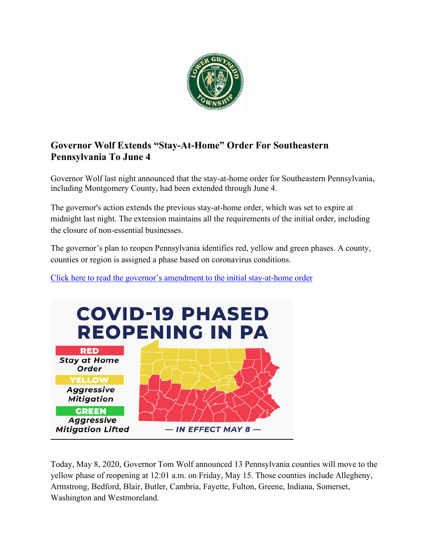

# **Governor Wolf Extends "Stay-At-Home" Order For Southeastern Pennsylvania To June 4**

Governor Wolf last night announced that the stay-at-home order for Southeastern Pennsylvania, including Montgomery County, had been extended through June 4.

The governor's action extends the previous stay-at-home order, which was set to expire at midnight last night. The extension maintains all the requirements of the initial order, including the closure of non-essential businesses.

The governor's plan to reopen Pennsylvania identifies red, yellow and green phases. A county, counties or region is assigned a phase based on coronavirus conditions.



[Click here to read the governor's amendment to the initial stay-at-home order](https://www.governor.pa.gov/wp-content/uploads/2020/05/20200507-TWW-Stay-at-Home-Order-Amendment.pdf)

Today, May 8, 2020, Governor Tom Wolf announced 13 Pennsylvania counties will move to the yellow phase of reopening at 12:01 a.m. on Friday, May 15. Those counties include Allegheny, Armstrong, Bedford, Blair, Butler, Cambria, Fayette, Fulton, Greene, Indiana, Somerset, Washington and Westmoreland.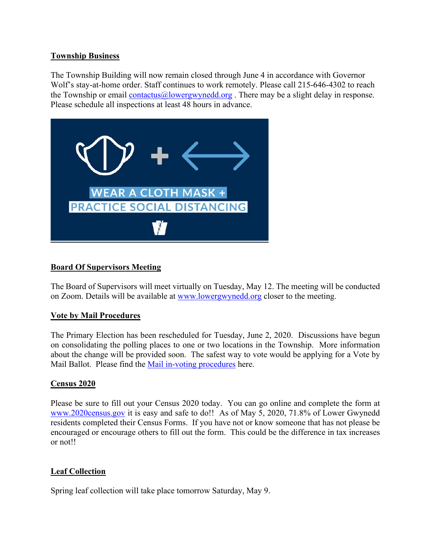#### **Township Business**

The Township Building will now remain closed through June 4 in accordance with Governor Wolf's stay-at-home order. Staff continues to work remotely. Please call 215-646-4302 to reach the Township or email [contactus@lowergwynedd.org](mailto:contactus@lowergwynedd.org). There may be a slight delay in response. Please schedule all inspections at least 48 hours in advance.



## **Board Of Supervisors Meeting**

The Board of Supervisors will meet virtually on Tuesday, May 12. The meeting will be conducted on Zoom. Details will be available at [www.lowergwynedd.org](http://www.lowergwynedd.org/) closer to the meeting.

### **Vote by Mail Procedures**

The Primary Election has been rescheduled for Tuesday, June 2, 2020. Discussions have begun on consolidating the polling places to one or two locations in the Township. More information about the change will be provided soon. The safest way to vote would be applying for a Vote by Mail Ballot. Please find the [Mail in-voting procedures](https://www.votespa.com/Voting-in-PA/Pages/Mail-and-Absentee-Ballot.aspx) here.

### **Census 2020**

Please be sure to fill out your Census 2020 today. You can go online and complete the form at [www.2020census.gov](http://www.2020census.gov/) it is easy and safe to do!! As of May 5, 2020, 71.8% of Lower Gwynedd residents completed their Census Forms. If you have not or know someone that has not please be encouraged or encourage others to fill out the form. This could be the difference in tax increases or not!!

### **Leaf Collection**

Spring leaf collection will take place tomorrow Saturday, May 9.